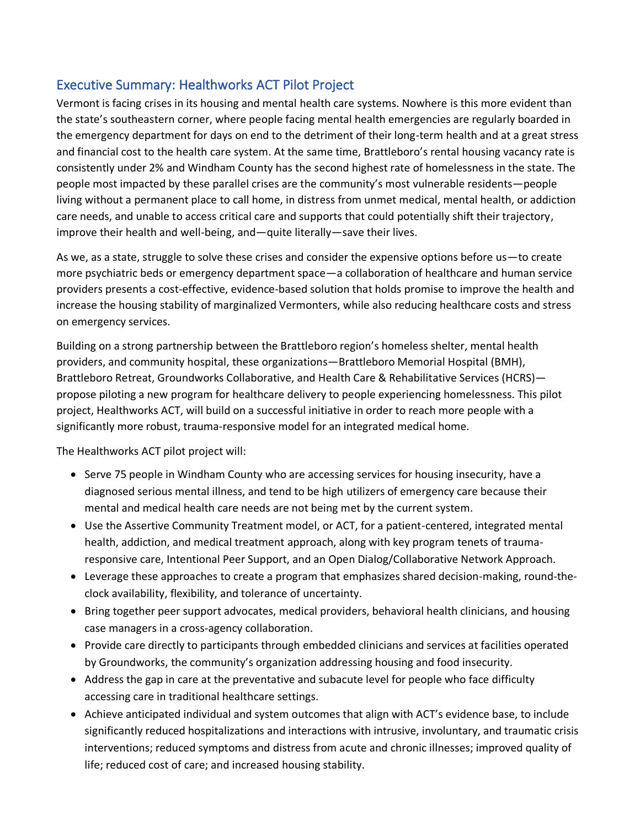## Executive Summary: Healthworks ACT Pilot Project

Vermont is facing crises in its housing and mental health care systems. Nowhere is this more evident than the state's southeastern corner, where people facing mental health emergencies are regularly boarded in the emergency department for days on end to the detriment of their long-term health and at a great stress and financial cost to the health care system. At the same time, Brattleboro's rental housing vacancy rate is consistently under 2% and Windham County has the second highest rate of homelessness in the state. The people most impacted by these parallel crises are the community's most vulnerable residents—people living without a permanent place to call home, in distress from unmet medical, mental health, or addiction care needs, and unable to access critical care and supports that could potentially shift their trajectory, improve their health and well-being, and—quite literally—save their lives.

As we, as a state, struggle to solve these crises and consider the expensive options before us—to create more psychiatric beds or emergency department space—a collaboration of healthcare and human service providers presents a cost-effective, evidence-based solution that holds promise to improve the health and increase the housing stability of marginalized Vermonters, while also reducing healthcare costs and stress on emergency services.

Building on a strong partnership between the Brattleboro region's homeless shelter, mental health providers, and community hospital, these organizations—Brattleboro Memorial Hospital (BMH), Brattleboro Retreat, Groundworks Collaborative, and Health Care & Rehabilitative Services (HCRS) propose piloting a new program for healthcare delivery to people experiencing homelessness. This pilot project, Healthworks ACT, will build on a successful initiative in order to reach more people with a significantly more robust, trauma-responsive model for an integrated medical home.

The Healthworks ACT pilot project will:

- Serve 75 people in Windham County who are accessing services for housing insecurity, have a diagnosed serious mental illness, and tend to be high utilizers of emergency care because their mental and medical health care needs are not being met by the current system.
- Use the Assertive Community Treatment model, or ACT, for a patient-centered, integrated mental health, addiction, and medical treatment approach, along with key program tenets of traumaresponsive care, Intentional Peer Support, and an Open Dialog/Collaborative Network Approach.
- Leverage these approaches to create a program that emphasizes shared decision-making, round-theclock availability, flexibility, and tolerance of uncertainty.
- Bring together peer support advocates, medical providers, behavioral health clinicians, and housing case managers in a cross-agency collaboration.
- Provide care directly to participants through embedded clinicians and services at facilities operated by Groundworks, the community's organization addressing housing and food insecurity.
- Address the gap in care at the preventative and subacute level for people who face difficulty accessing care in traditional healthcare settings.
- Achieve anticipated individual and system outcomes that align with ACT's evidence base, to include significantly reduced hospitalizations and interactions with intrusive, involuntary, and traumatic crisis interventions; reduced symptoms and distress from acute and chronic illnesses; improved quality of life; reduced cost of care; and increased housing stability.